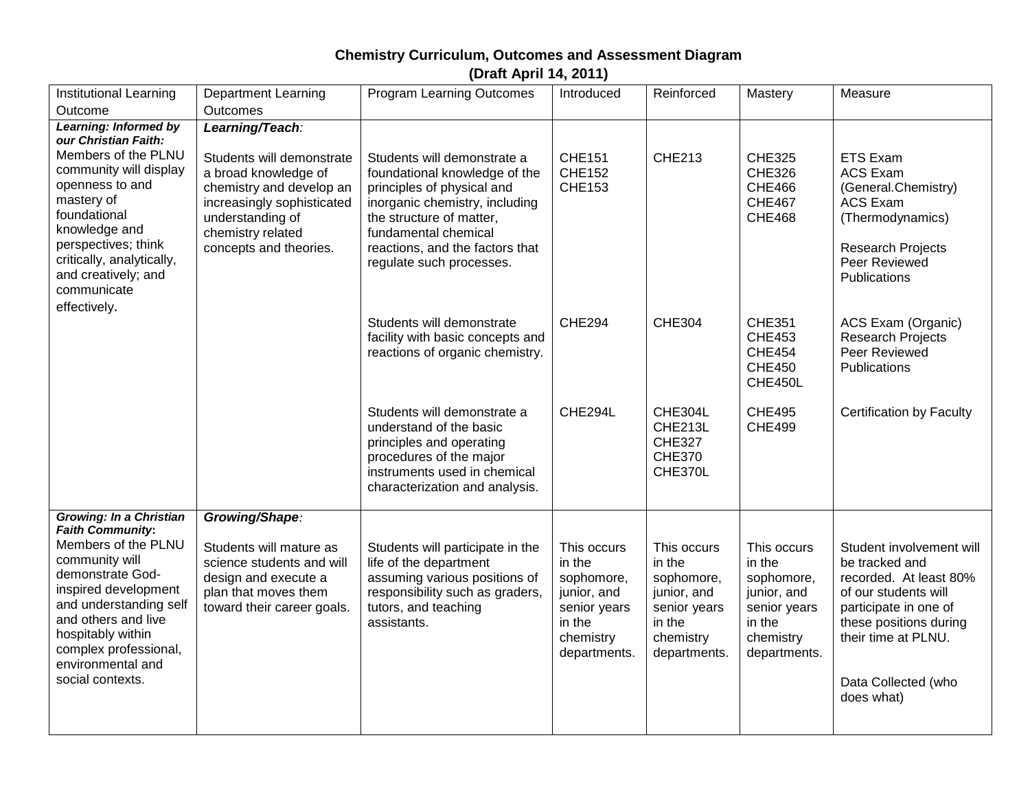## **Chemistry Curriculum, Outcomes and Assessment Diagram**

**(Draft April 14, 2011)**

| Institutional Learning                                                                                                                                                                                                                               | <b>Department Learning</b>                                                                                                                                                     | <b>Program Learning Outcomes</b>                                                                                                                                                                                                                | Introduced                                                                                                | Reinforced                                                                                                | Mastery                                                                                                   | Measure                                                                                                                                                                                                     |
|------------------------------------------------------------------------------------------------------------------------------------------------------------------------------------------------------------------------------------------------------|--------------------------------------------------------------------------------------------------------------------------------------------------------------------------------|-------------------------------------------------------------------------------------------------------------------------------------------------------------------------------------------------------------------------------------------------|-----------------------------------------------------------------------------------------------------------|-----------------------------------------------------------------------------------------------------------|-----------------------------------------------------------------------------------------------------------|-------------------------------------------------------------------------------------------------------------------------------------------------------------------------------------------------------------|
| Outcome                                                                                                                                                                                                                                              | Outcomes                                                                                                                                                                       |                                                                                                                                                                                                                                                 |                                                                                                           |                                                                                                           |                                                                                                           |                                                                                                                                                                                                             |
| Learning: Informed by<br>our Christian Faith:                                                                                                                                                                                                        | Learning/Teach:                                                                                                                                                                |                                                                                                                                                                                                                                                 |                                                                                                           |                                                                                                           |                                                                                                           |                                                                                                                                                                                                             |
| Members of the PLNU<br>community will display<br>openness to and<br>mastery of<br>foundational<br>knowledge and<br>perspectives; think<br>critically, analytically,<br>and creatively; and<br>communicate<br>effectively.                            | Students will demonstrate<br>a broad knowledge of<br>chemistry and develop an<br>increasingly sophisticated<br>understanding of<br>chemistry related<br>concepts and theories. | Students will demonstrate a<br>foundational knowledge of the<br>principles of physical and<br>inorganic chemistry, including<br>the structure of matter,<br>fundamental chemical<br>reactions, and the factors that<br>regulate such processes. | <b>CHE151</b><br><b>CHE152</b><br><b>CHE153</b>                                                           | <b>CHE213</b>                                                                                             | <b>CHE325</b><br><b>CHE326</b><br><b>CHE466</b><br><b>CHE467</b><br><b>CHE468</b>                         | <b>ETS Exam</b><br><b>ACS Exam</b><br>(General.Chemistry)<br><b>ACS Exam</b><br>(Thermodynamics)<br>Research Projects<br>Peer Reviewed<br>Publications                                                      |
|                                                                                                                                                                                                                                                      |                                                                                                                                                                                | Students will demonstrate<br>facility with basic concepts and<br>reactions of organic chemistry.                                                                                                                                                | <b>CHE294</b>                                                                                             | <b>CHE304</b>                                                                                             | <b>CHE351</b><br><b>CHE453</b><br><b>CHE454</b><br><b>CHE450</b><br>CHE450L                               | ACS Exam (Organic)<br><b>Research Projects</b><br>Peer Reviewed<br>Publications                                                                                                                             |
|                                                                                                                                                                                                                                                      |                                                                                                                                                                                | Students will demonstrate a<br>understand of the basic<br>principles and operating<br>procedures of the major<br>instruments used in chemical<br>characterization and analysis.                                                                 | CHE294L                                                                                                   | <b>CHE304L</b><br>CHE213L<br><b>CHE327</b><br><b>CHE370</b><br>CHE370L                                    | <b>CHE495</b><br><b>CHE499</b>                                                                            | Certification by Faculty                                                                                                                                                                                    |
| <b>Growing: In a Christian</b>                                                                                                                                                                                                                       | Growing/Shape:                                                                                                                                                                 |                                                                                                                                                                                                                                                 |                                                                                                           |                                                                                                           |                                                                                                           |                                                                                                                                                                                                             |
| <b>Faith Community:</b><br>Members of the PLNU<br>community will<br>demonstrate God-<br>inspired development<br>and understanding self<br>and others and live<br>hospitably within<br>complex professional,<br>environmental and<br>social contexts. | Students will mature as<br>science students and will<br>design and execute a<br>plan that moves them<br>toward their career goals.                                             | Students will participate in the<br>life of the department<br>assuming various positions of<br>responsibility such as graders,<br>tutors, and teaching<br>assistants.                                                                           | This occurs<br>in the<br>sophomore,<br>junior, and<br>senior years<br>in the<br>chemistry<br>departments. | This occurs<br>in the<br>sophomore,<br>junior, and<br>senior years<br>in the<br>chemistry<br>departments. | This occurs<br>in the<br>sophomore,<br>junior, and<br>senior years<br>in the<br>chemistry<br>departments. | Student involvement will<br>be tracked and<br>recorded. At least 80%<br>of our students will<br>participate in one of<br>these positions during<br>their time at PLNU.<br>Data Collected (who<br>does what) |